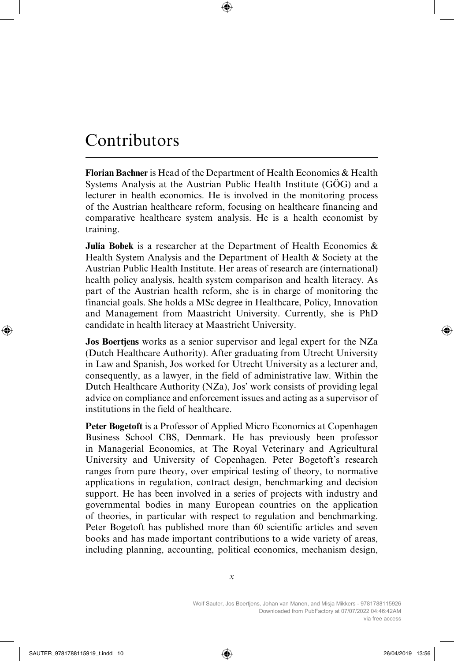## **Contributors**

**Florian Bachner** is Head of the Department of Health Economics & Health Systems Analysis at the Austrian Public Health Institute (GÖG) and a lecturer in health economics. He is involved in the monitoring process of the Austrian healthcare reform, focusing on healthcare financing and comparative healthcare system analysis. He is a health economist by training.

**Julia Bobek** is a researcher at the Department of Health Economics & Health System Analysis and the Department of Health & Society at the Austrian Public Health Institute. Her areas of research are (international) health policy analysis, health system comparison and health literacy. As part of the Austrian health reform, she is in charge of monitoring the financial goals. She holds a MSc degree in Healthcare, Policy, Innovation and Management from Maastricht University. Currently, she is PhD candidate in health literacy at Maastricht University.

**Jos Boertjens** works as a senior supervisor and legal expert for the NZa (Dutch Healthcare Authority). After graduating from Utrecht University in Law and Spanish, Jos worked for Utrecht University as a lecturer and, consequently, as a lawyer, in the field of administrative law. Within the Dutch Healthcare Authority (NZa), Jos' work consists of providing legal advice on compliance and enforcement issues and acting as a supervisor of institutions in the field of healthcare.

**Peter Bogetoft** is a Professor of Applied Micro Economics at Copenhagen Business School CBS, Denmark. He has previously been professor in Managerial Economics, at The Royal Veterinary and Agricultural University and University of Copenhagen. Peter Bogetoft's research ranges from pure theory, over empirical testing of theory, to normative applications in regulation, contract design, benchmarking and decision support. He has been involved in a series of projects with industry and governmental bodies in many European countries on the application of theories, in particular with respect to regulation and benchmarking. Peter Bogetoft has published more than 60 scientific articles and seven books and has made important contributions to a wide variety of areas, including planning, accounting, political economics, mechanism design,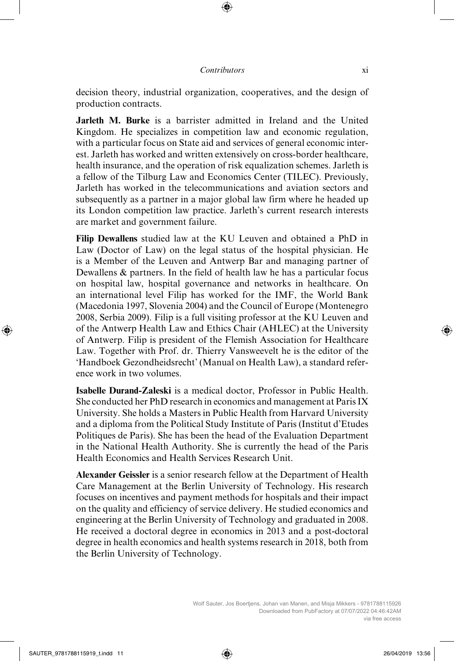decision theory, industrial organization, cooperatives, and the design of production contracts.

**Jarleth M. Burke** is a barrister admitted in Ireland and the United Kingdom. He specializes in competition law and economic regulation, with a particular focus on State aid and services of general economic interest. Jarleth has worked and written extensively on cross-border healthcare, health insurance, and the operation of risk equalization schemes. Jarleth is a fellow of the Tilburg Law and Economics Center (TILEC). Previously, Jarleth has worked in the telecommunications and aviation sectors and subsequently as a partner in a major global law firm where he headed up its London competition law practice. Jarleth's current research interests are market and government failure.

**Filip Dewallens** studied law at the KU Leuven and obtained a PhD in Law (Doctor of Law) on the legal status of the hospital physician. He is a Member of the Leuven and Antwerp Bar and managing partner of Dewallens & partners. In the field of health law he has a particular focus on hospital law, hospital governance and networks in healthcare. On an international level Filip has worked for the IMF, the World Bank (Macedonia 1997, Slovenia 2004) and the Council of Europe (Montenegro 2008, Serbia 2009). Filip is a full visiting professor at the KU Leuven and of the Antwerp Health Law and Ethics Chair (AHLEC) at the University of Antwerp. Filip is president of the Flemish Association for Healthcare Law. Together with Prof. dr. Thierry Vansweevelt he is the editor of the 'Handboek Gezondheidsrecht' (Manual on Health Law), a standard reference work in two volumes.

**Isabelle Durand-Zaleski** is a medical doctor, Professor in Public Health. She conducted her PhD research in economics and management at Paris IX University. She holds a Masters in Public Health from Harvard University and a diploma from the Political Study Institute of Paris (Institut d'Etudes Politiques de Paris). She has been the head of the Evaluation Department in the National Health Authority. She is currently the head of the Paris Health Economics and Health Services Research Unit.

**Alexander Geissler** is a senior research fellow at the Department of Health Care Management at the Berlin University of Technology. His research focuses on incentives and payment methods for hospitals and their impact on the quality and efficiency of service delivery. He studied economics and engineering at the Berlin University of Technology and graduated in 2008. He received a doctoral degree in economics in 2013 and a post-doctoral degree in health economics and health systems research in 2018, both from the Berlin University of Technology.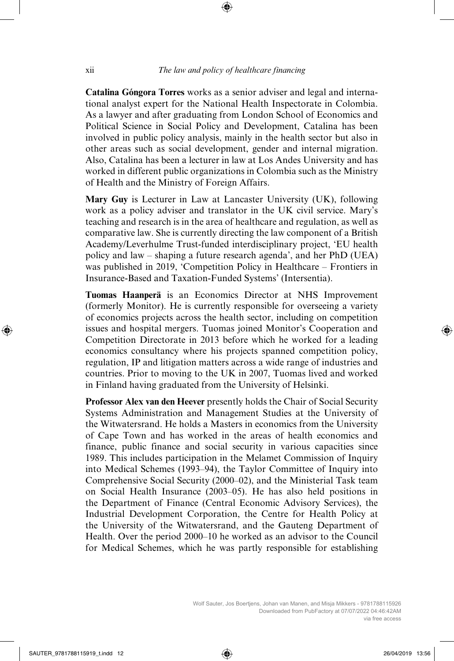**Catalina Góngora Torres** works as a senior adviser and legal and international analyst expert for the National Health Inspectorate in Colombia. As a lawyer and after graduating from London School of Economics and Political Science in Social Policy and Development, Catalina has been involved in public policy analysis, mainly in the health sector but also in other areas such as social development, gender and internal migration. Also, Catalina has been a lecturer in law at Los Andes University and has worked in different public organizations in Colombia such as the Ministry of Health and the Ministry of Foreign Affairs.

**Mary Guy** is Lecturer in Law at Lancaster University (UK), following work as a policy adviser and translator in the UK civil service. Mary's teaching and research is in the area of healthcare and regulation, as well as comparative law. She is currently directing the law component of a British Academy/Leverhulme Trust-funded interdisciplinary project, 'EU health policy and law – shaping a future research agenda', and her PhD (UEA) was published in 2019, 'Competition Policy in Healthcare – Frontiers in Insurance-Based and Taxation-Funded Systems' (Intersentia).

**Tuomas Haanperä** is an Economics Director at NHS Improvement (formerly Monitor). He is currently responsible for overseeing a variety of economics projects across the health sector, including on competition issues and hospital mergers. Tuomas joined Monitor's Cooperation and Competition Directorate in 2013 before which he worked for a leading economics consultancy where his projects spanned competition policy, regulation, IP and litigation matters across a wide range of industries and countries. Prior to moving to the UK in 2007, Tuomas lived and worked in Finland having graduated from the University of Helsinki.

**Professor Alex van den Heever** presently holds the Chair of Social Security Systems Administration and Management Studies at the University of the Witwatersrand. He holds a Masters in economics from the University of Cape Town and has worked in the areas of health economics and finance, public finance and social security in various capacities since 1989. This includes participation in the Melamet Commission of Inquiry into Medical Schemes (1993–94), the Taylor Committee of Inquiry into Comprehensive Social Security (2000–02), and the Ministerial Task team on Social Health Insurance (2003–05). He has also held positions in the Department of Finance (Central Economic Advisory Services), the Industrial Development Corporation, the Centre for Health Policy at the University of the Witwatersrand, and the Gauteng Department of Health. Over the period 2000–10 he worked as an advisor to the Council for Medical Schemes, which he was partly responsible for establishing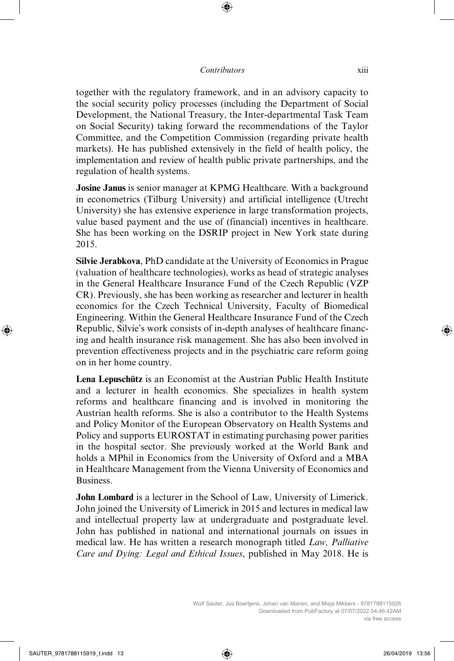together with the regulatory framework, and in an advisory capacity to the social security policy processes (including the Department of Social Development, the National Treasury, the Inter-departmental Task Team on Social Security) taking forward the recommendations of the Taylor Committee, and the Competition Commission (regarding private health markets). He has published extensively in the field of health policy, the implementation and review of health public private partnerships, and the regulation of health systems.

**Josine Janus** is senior manager at KPMG Healthcare. With a background in econometrics (Tilburg University) and artificial intelligence (Utrecht University) she has extensive experience in large transformation projects, value based payment and the use of (financial) incentives in healthcare. She has been working on the DSRIP project in New York state during 2015.

**Silvie Jerabkova**, PhD candidate at the University of Economics in Prague (valuation of healthcare technologies), works as head of strategic analyses in the General Healthcare Insurance Fund of the Czech Republic (VZP CR). Previously, she has been working as researcher and lecturer in health economics for the Czech Technical University, Faculty of Biomedical Engineering. Within the General Healthcare Insurance Fund of the Czech Republic, Silvie's work consists of in-depth analyses of healthcare financing and health insurance risk management. She has also been involved in prevention effectiveness projects and in the psychiatric care reform going on in her home country.

**Lena Lepuschütz** is an Economist at the Austrian Public Health Institute and a lecturer in health economics. She specializes in health system reforms and healthcare financing and is involved in monitoring the Austrian health reforms. She is also a contributor to the Health Systems and Policy Monitor of the European Observatory on Health Systems and Policy and supports EUROSTAT in estimating purchasing power parities in the hospital sector. She previously worked at the World Bank and holds a MPhil in Economics from the University of Oxford and a MBA in Healthcare Management from the Vienna University of Economics and Business.

**John Lombard** is a lecturer in the School of Law, University of Limerick. John joined the University of Limerick in 2015 and lectures in medical law and intellectual property law at undergraduate and postgraduate level. John has published in national and international journals on issues in medical law. He has written a research monograph titled *Law, Palliative Care and Dying: Legal and Ethical Issues*, published in May 2018. He is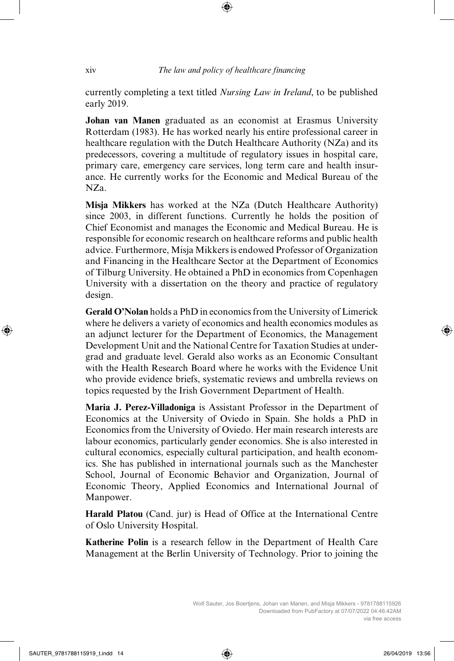currently completing a text titled *Nursing Law in Ireland*, to be published early 2019.

**Johan van Manen** graduated as an economist at Erasmus University Rotterdam (1983). He has worked nearly his entire professional career in healthcare regulation with the Dutch Healthcare Authority (NZa) and its predecessors, covering a multitude of regulatory issues in hospital care, primary care, emergency care services, long term care and health insurance. He currently works for the Economic and Medical Bureau of the NZa.

**Misja Mikkers** has worked at the NZa (Dutch Healthcare Authority) since 2003, in different functions. Currently he holds the position of Chief Economist and manages the Economic and Medical Bureau. He is responsible for economic research on healthcare reforms and public health advice. Furthermore, Misja Mikkers is endowed Professor of Organization and Financing in the Healthcare Sector at the Department of Economics of Tilburg University. He obtained a PhD in economics from Copenhagen University with a dissertation on the theory and practice of regulatory design.

**Gerald O'Nolan** holds a PhD in economics from the University of Limerick where he delivers a variety of economics and health economics modules as an adjunct lecturer for the Department of Economics, the Management Development Unit and the National Centre for Taxation Studies at undergrad and graduate level. Gerald also works as an Economic Consultant with the Health Research Board where he works with the Evidence Unit who provide evidence briefs, systematic reviews and umbrella reviews on topics requested by the Irish Government Department of Health.

**Maria J. Perez-Villadoniga** is Assistant Professor in the Department of Economics at the University of Oviedo in Spain. She holds a PhD in Economics from the University of Oviedo. Her main research interests are labour economics, particularly gender economics. She is also interested in cultural economics, especially cultural participation, and health economics. She has published in international journals such as the Manchester School, Journal of Economic Behavior and Organization, Journal of Economic Theory, Applied Economics and International Journal of Manpower.

**Harald Platou** (Cand. jur) is Head of Office at the International Centre of Oslo University Hospital.

**Katherine Polin** is a research fellow in the Department of Health Care Management at the Berlin University of Technology. Prior to joining the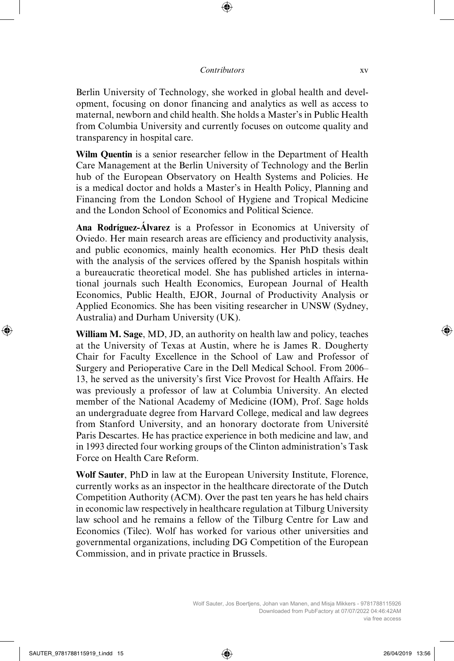Berlin University of Technology, she worked in global health and development, focusing on donor financing and analytics as well as access to maternal, newborn and child health. She holds a Master's in Public Health from Columbia University and currently focuses on outcome quality and transparency in hospital care.

**Wilm Quentin** is a senior researcher fellow in the Department of Health Care Management at the Berlin University of Technology and the Berlin hub of the European Observatory on Health Systems and Policies. He is a medical doctor and holds a Master's in Health Policy, Planning and Financing from the London School of Hygiene and Tropical Medicine and the London School of Economics and Political Science.

**Ana Rodríguez-Álvarez** is a Professor in Economics at University of Oviedo. Her main research areas are efficiency and productivity analysis, and public economics, mainly health economics. Her PhD thesis dealt with the analysis of the services offered by the Spanish hospitals within a bureaucratic theoretical model. She has published articles in international journals such Health Economics, European Journal of Health Economics, Public Health, EJOR, Journal of Productivity Analysis or Applied Economics. She has been visiting researcher in UNSW (Sydney, Australia) and Durham University (UK).

**William M. Sage**, MD, JD, an authority on health law and policy, teaches at the University of Texas at Austin, where he is James R. Dougherty Chair for Faculty Excellence in the School of Law and Professor of Surgery and Perioperative Care in the Dell Medical School. From 2006– 13, he served as the university's first Vice Provost for Health Affairs. He was previously a professor of law at Columbia University. An elected member of the National Academy of Medicine (IOM), Prof. Sage holds an undergraduate degree from Harvard College, medical and law degrees from Stanford University, and an honorary doctorate from Université Paris Descartes. He has practice experience in both medicine and law, and in 1993 directed four working groups of the Clinton administration's Task Force on Health Care Reform.

**Wolf Sauter**, PhD in law at the European University Institute, Florence, currently works as an inspector in the healthcare directorate of the Dutch Competition Authority (ACM). Over the past ten years he has held chairs in economic law respectively in healthcare regulation at Tilburg University law school and he remains a fellow of the Tilburg Centre for Law and Economics (Tilec). Wolf has worked for various other universities and governmental organizations, including DG Competition of the European Commission, and in private practice in Brussels.